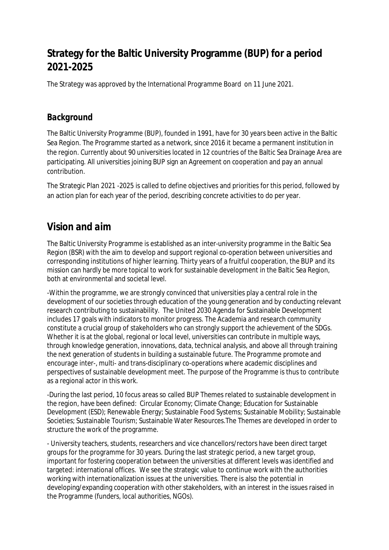# **Strategy for the Baltic University Programme (BUP) for a period 2021-2025**

The Strategy was approved by the International Programme Board on 11 June 2021.

#### *Background*

The Baltic University Programme (BUP), founded in 1991, have for 30 years been active in the Baltic Sea Region. The Programme started as a network, since 2016 it became a permanent institution in the region. Currently about 90 universities located in 12 countries of the Baltic Sea Drainage Area are participating. All universities joining BUP sign an Agreement on cooperation and pay an annual contribution.

The Strategic Plan 2021 -2025 is called to define objectives and priorities for this period, followed by an action plan for each year of the period, describing concrete activities to do per year.

## *Vision and aim*

The Baltic University Programme is established as an inter-university programme in the Baltic Sea Region (BSR) with the aim to develop and support regional co-operation between universities and corresponding institutions of higher learning. Thirty years of a fruitful cooperation, the BUP and its mission can hardly be more topical to work for sustainable development in the Baltic Sea Region, both at environmental and societal level.

-Within the programme, we are strongly convinced that universities play a central role in the development of our societies through education of the young generation and by conducting relevant research contributing to sustainability. The United 2030 Agenda for Sustainable Development includes 17 goals with indicators to monitor progress. The Academia and research community constitute a crucial group of stakeholders who can strongly support the achievement of the SDGs. Whether it is at the global, regional or local level, universities can contribute in multiple ways, through knowledge generation, innovations, data, technical analysis, and above all through training the next generation of students in building a sustainable future. The Programme promote and encourage inter-, multi- and trans-disciplinary co-operations where academic disciplines and perspectives of sustainable development meet. The purpose of the Programme is thus to contribute as a regional actor in this work.

-During the last period, 10 focus areas so called BUP Themes related to sustainable development in the region, have been defined: Circular Economy; Climate Change; Education for Sustainable Development (ESD); Renewable Energy; Sustainable Food Systems; Sustainable Mobility; Sustainable Societies; Sustainable Tourism; Sustainable Water Resources.The Themes are developed in order to structure the work of the programme.

- University teachers, students, researchers and vice chancellors/rectors have been direct target groups for the programme for 30 years. During the last strategic period, a new target group, important for fostering cooperation between the universities at different levels was identified and targeted: international offices. We see the strategic value to continue work with the authorities working with internationalization issues at the universities. There is also the potential in developing/expanding cooperation with other stakeholders, with an interest in the issues raised in the Programme (funders, local authorities, NGOs).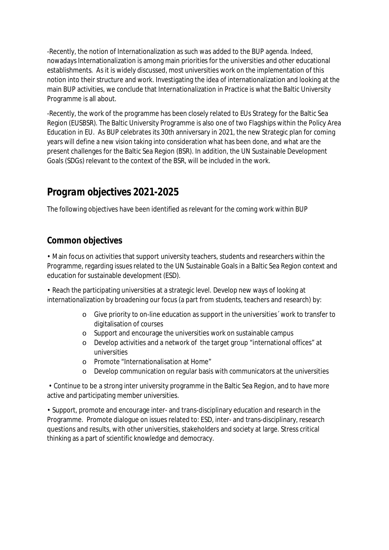-Recently, the notion of Internationalization as such was added to the BUP agenda. Indeed, nowadays Internationalization is among main priorities for the universities and other educational establishments. As it is widely discussed, most universities work on the implementation of this notion into their structure and work. Investigating the idea of internationalization and looking at the main BUP activities, we conclude that Internationalization in Practice is what the Baltic University Programme is all about.

-Recently, the work of the programme has been closely related to EUs Strategy for the Baltic Sea Region (EUSBSR). The Baltic University Programme is also one of two Flagships within the Policy Area Education in EU. As BUP celebrates its 30th anniversary in 2021, the new Strategic plan for coming years will define a new vision taking into consideration what has been done, and what are the present challenges for the Baltic Sea Region (BSR). In addition, the UN Sustainable Development Goals (SDGs) relevant to the context of the BSR, will be included in the work.

# *Program objectives 2021-2025*

The following objectives have been identified as relevant for the coming work within BUP

### **Common objectives**

• Main focus on activities that support university teachers, students and researchers within the Programme, regarding issues related to the UN Sustainable Goals in a Baltic Sea Region context and education for sustainable development (ESD).

• Reach the participating universities at a strategic level. Develop new ways of looking at internationalization by broadening our focus (a part from students, teachers and research) by:

- o Give priority to on-line education as support in the universities´ work to transfer to digitalisation of courses
- o Support and encourage the universities work on sustainable campus
- o Develop activities and a network of the target group "international offices" at universities
- o Promote "Internationalisation at Home"
- o Develop communication on regular basis with communicators at the universities

 • Continue to be a strong inter university programme in the Baltic Sea Region, and to have more active and participating member universities.

• Support, promote and encourage inter- and trans-disciplinary education and research in the Programme. Promote dialogue on issues related to: ESD, inter- and trans-disciplinary, research questions and results, with other universities, stakeholders and society at large. Stress critical thinking as a part of scientific knowledge and democracy.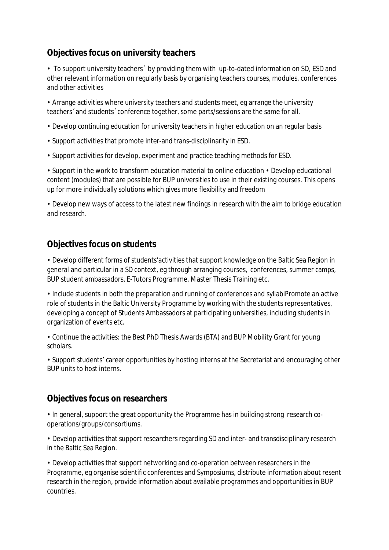### **Objectives focus on university teachers**

• To support university teachers´ by providing them with up-to-dated information on SD, ESD and other relevant information on regularly basis by organising teachers courses, modules, conferences and other activities

• Arrange activities where university teachers and students meet, eg arrange the university teachers´ and students´ conference together, some parts/sessions are the same for all.

- Develop continuing education for university teachers in higher education on an regular basis
- Support activities that promote inter-and trans-disciplinarity in ESD.
- Support activities for develop, experiment and practice teaching methods for ESD.

• Support in the work to transform education material to online education • Develop educational content (modules) that are possible for BUP universities to use in their existing courses. This opens up for more individually solutions which gives more flexibility and freedom

• Develop new ways of access to the latest new findings in research with the aim to bridge education and research.

### **Objectives focus on students**

• Develop different forms of students'activities that support knowledge on the Baltic Sea Region in general and particular in a SD context, eg through arranging courses, conferences, summer camps, BUP student ambassadors, E-Tutors Programme, Master Thesis Training etc.

• Include students in both the preparation and running of conferences and syllabiPromote an active role of students in the Baltic University Programme by working with the students representatives, developing a concept of Students Ambassadors at participating universities, including students in organization of events etc.

• Continue the activities: the Best PhD Thesis Awards (BTA) and BUP Mobility Grant for young scholars.

• Support students' career opportunities by hosting interns at the Secretariat and encouraging other BUP units to host interns.

#### **Objectives focus on researchers**

• In general, support the great opportunity the Programme has in building strong research cooperations/groups/consortiums.

• Develop activities that support researchers regarding SD and inter- and transdisciplinary research in the Baltic Sea Region.

• Develop activities that support networking and co-operation between researchers in the Programme, eg organise scientific conferences and Symposiums, distribute information about resent research in the region, provide information about available programmes and opportunities in BUP countries.